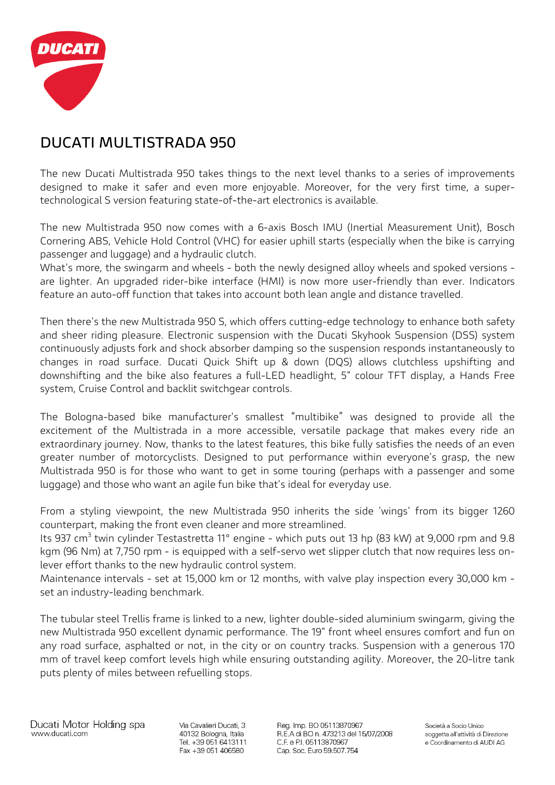

# **DUCATI MULTISTRADA 950**

The new Ducati Multistrada 950 takes things to the next level thanks to a series of improvements designed to make it safer and even more enjoyable. Moreover, for the very first time, a supertechnological S version featuring state-of-the-art electronics is available.

The new Multistrada 950 now comes with a 6-axis Bosch IMU (Inertial Measurement Unit), Bosch Cornering ABS, Vehicle Hold Control (VHC) for easier uphill starts (especially when the bike is carrying passenger and luggage) and a hydraulic clutch.

What's more, the swingarm and wheels - both the newly designed alloy wheels and spoked versions are lighter. An upgraded rider-bike interface (HMI) is now more user-friendly than ever. Indicators feature an auto-off function that takes into account both lean angle and distance travelled.

Then there's the new Multistrada 950 S, which offers cutting-edge technology to enhance both safety and sheer riding pleasure. Electronic suspension with the Ducati Skyhook Suspension (DSS) system continuously adjusts fork and shock absorber damping so the suspension responds instantaneously to changes in road surface. Ducati Quick Shift up & down (DQS) allows clutchless upshifting and downshifting and the bike also features a full-LED headlight, 5" colour TFT display, a Hands Free system, Cruise Control and backlit switchgear controls.

The Bologna-based bike manufacturer's smallest "multibike" was designed to provide all the excitement of the Multistrada in a more accessible, versatile package that makes every ride an extraordinary journey. Now, thanks to the latest features, this bike fully satisfies the needs of an even greater number of motorcyclists. Designed to put performance within everyone's grasp, the new Multistrada 950 is for those who want to get in some touring (perhaps with a passenger and some luggage) and those who want an agile fun bike that's ideal for everyday use.

From a styling viewpoint, the new Multistrada 950 inherits the side 'wings' from its bigger 1260 counterpart, making the front even cleaner and more streamlined.

Its 937 cm<sup>3</sup> twin cylinder Testastretta 11° engine - which puts out 13 hp (83 kW) at 9,000 rpm and 9.8 kgm (96 Nm) at 7,750 rpm - is equipped with a self-servo wet slipper clutch that now requires less onlever effort thanks to the new hydraulic control system.

Maintenance intervals - set at 15,000 km or 12 months, with valve play inspection every 30,000 km set an industry-leading benchmark.

The tubular steel Trellis frame is linked to a new, lighter double-sided aluminium swingarm, giving the new Multistrada 950 excellent dynamic performance. The 19" front wheel ensures comfort and fun on any road surface, asphalted or not, in the city or on country tracks. Suspension with a generous 170 mm of travel keep comfort levels high while ensuring outstanding agility. Moreover, the 20-litre tank puts plenty of miles between refuelling stops.

Via Cavalieri Ducati, 3 40132 Bologna, Italia Tel. +39 051 6413111 Fax +39 051 406580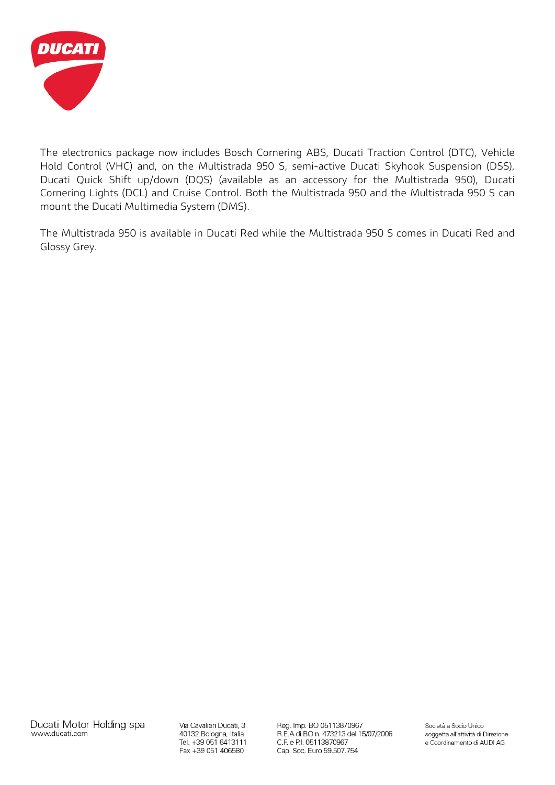

The electronics package now includes Bosch Cornering ABS, Ducati Traction Control (DTC), Vehicle Hold Control (VHC) and, on the Multistrada 950 S, semi-active Ducati Skyhook Suspension (DSS), Ducati Quick Shift up/down (DQS) (available as an accessory for the Multistrada 950), Ducati Cornering Lights (DCL) and Cruise Control. Both the Multistrada 950 and the Multistrada 950 S can mount the Ducati Multimedia System (DMS).

The Multistrada 950 is available in Ducati Red while the Multistrada 950 S comes in Ducati Red and Glossy Grey.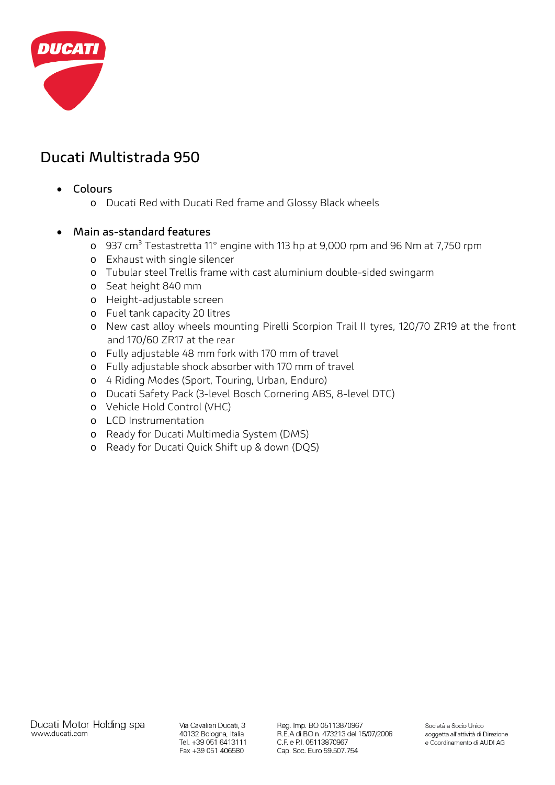

# **Ducati Multistrada 950**

- **Colours**
	- o Ducati Red with Ducati Red frame and Glossy Black wheels

#### • **Main as-standard features**

- o 937 cm<sup>3</sup> Testastretta 11° engine with 113 hp at 9,000 rpm and 96 Nm at 7,750 rpm
- o Exhaust with single silencer
- o Tubular steel Trellis frame with cast aluminium double-sided swingarm
- o Seat height 840 mm
- o Height-adjustable screen
- o Fuel tank capacity 20 litres
- o New cast alloy wheels mounting Pirelli Scorpion Trail II tyres, 120/70 ZR19 at the front and 170/60 ZR17 at the rear
- o Fully adjustable 48 mm fork with 170 mm of travel
- o Fully adjustable shock absorber with 170 mm of travel
- o 4 Riding Modes (Sport, Touring, Urban, Enduro)
- o Ducati Safety Pack (3-level Bosch Cornering ABS, 8-level DTC)
- o Vehicle Hold Control (VHC)
- o LCD Instrumentation
- o Ready for Ducati Multimedia System (DMS)
- o Ready for Ducati Quick Shift up & down (DQS)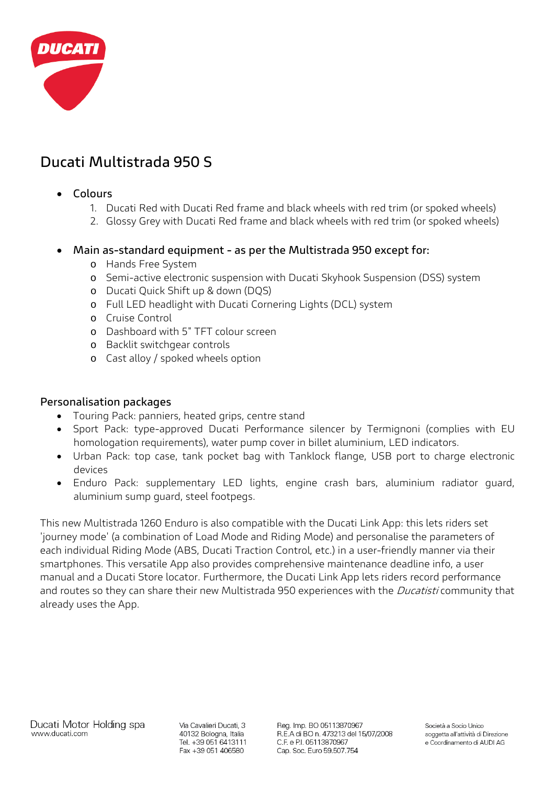

# **Ducati Multistrada 950 S**

### • **Colours**

- 1. Ducati Red with Ducati Red frame and black wheels with red trim (or spoked wheels)
- 2. Glossy Grey with Ducati Red frame and black wheels with red trim (or spoked wheels)

#### • **Main as-standard equipment - as per the Multistrada 950 except for:**

- o Hands Free System
- o Semi-active electronic suspension with Ducati Skyhook Suspension (DSS) system
- o Ducati Quick Shift up & down (DQS)
- o Full LED headlight with Ducati Cornering Lights (DCL) system
- o Cruise Control
- o Dashboard with 5" TFT colour screen
- o Backlit switchgear controls
- o Cast alloy / spoked wheels option

### **Personalisation packages**

- Touring Pack: panniers, heated grips, centre stand
- Sport Pack: type-approved Ducati Performance silencer by Termignoni (complies with EU homologation requirements), water pump cover in billet aluminium, LED indicators.
- Urban Pack: top case, tank pocket bag with Tanklock flange, USB port to charge electronic devices
- Enduro Pack: supplementary LED lights, engine crash bars, aluminium radiator guard, aluminium sump guard, steel footpegs.

This new Multistrada 1260 Enduro is also compatible with the Ducati Link App: this lets riders set 'journey mode' (a combination of Load Mode and Riding Mode) and personalise the parameters of each individual Riding Mode (ABS, Ducati Traction Control, etc.) in a user-friendly manner via their smartphones. This versatile App also provides comprehensive maintenance deadline info, a user manual and a Ducati Store locator. Furthermore, the Ducati Link App lets riders record performance and routes so they can share their new Multistrada 950 experiences with the *Ducatisti* community that already uses the App.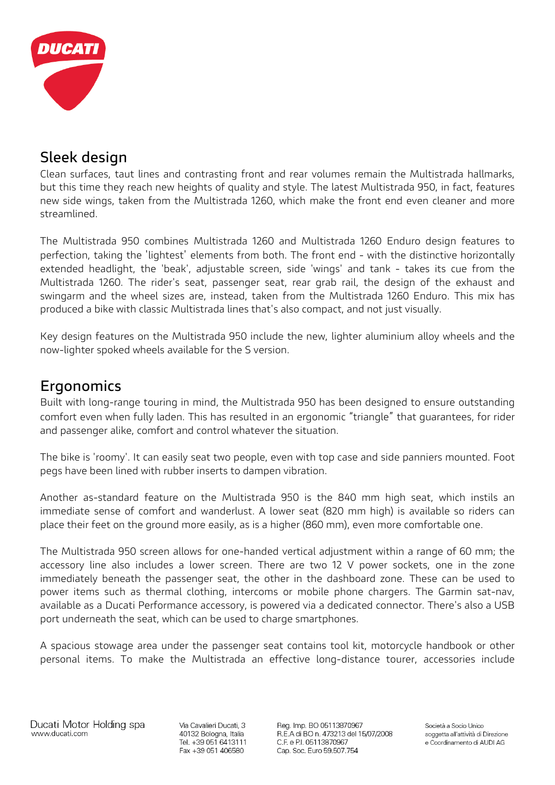

## **Sleek design**

Clean surfaces, taut lines and contrasting front and rear volumes remain the Multistrada hallmarks, but this time they reach new heights of quality and style. The latest Multistrada 950, in fact, features new side wings, taken from the Multistrada 1260, which make the front end even cleaner and more streamlined.

The Multistrada 950 combines Multistrada 1260 and Multistrada 1260 Enduro design features to perfection, taking the 'lightest' elements from both. The front end - with the distinctive horizontally extended headlight, the 'beak', adjustable screen, side 'wings' and tank - takes its cue from the Multistrada 1260. The rider's seat, passenger seat, rear grab rail, the design of the exhaust and swingarm and the wheel sizes are, instead, taken from the Multistrada 1260 Enduro. This mix has produced a bike with classic Multistrada lines that's also compact, and not just visually.

Key design features on the Multistrada 950 include the new, lighter aluminium alloy wheels and the now-lighter spoked wheels available for the S version.

## **Ergonomics**

Built with long-range touring in mind, the Multistrada 950 has been designed to ensure outstanding comfort even when fully laden. This has resulted in an ergonomic "triangle" that guarantees, for rider and passenger alike, comfort and control whatever the situation.

The bike is 'roomy'. It can easily seat two people, even with top case and side panniers mounted. Foot pegs have been lined with rubber inserts to dampen vibration.

Another as-standard feature on the Multistrada 950 is the 840 mm high seat, which instils an immediate sense of comfort and wanderlust. A lower seat (820 mm high) is available so riders can place their feet on the ground more easily, as is a higher (860 mm), even more comfortable one.

The Multistrada 950 screen allows for one-handed vertical adjustment within a range of 60 mm; the accessory line also includes a lower screen. There are two 12 V power sockets, one in the zone immediately beneath the passenger seat, the other in the dashboard zone. These can be used to power items such as thermal clothing, intercoms or mobile phone chargers. The Garmin sat-nav, available as a Ducati Performance accessory, is powered via a dedicated connector. There's also a USB port underneath the seat, which can be used to charge smartphones.

A spacious stowage area under the passenger seat contains tool kit, motorcycle handbook or other personal items. To make the Multistrada an effective long-distance tourer, accessories include

Via Cavalieri Ducati, 3 40132 Bologna, Italia Tel. +39 051 6413111 Fax +39 051 406580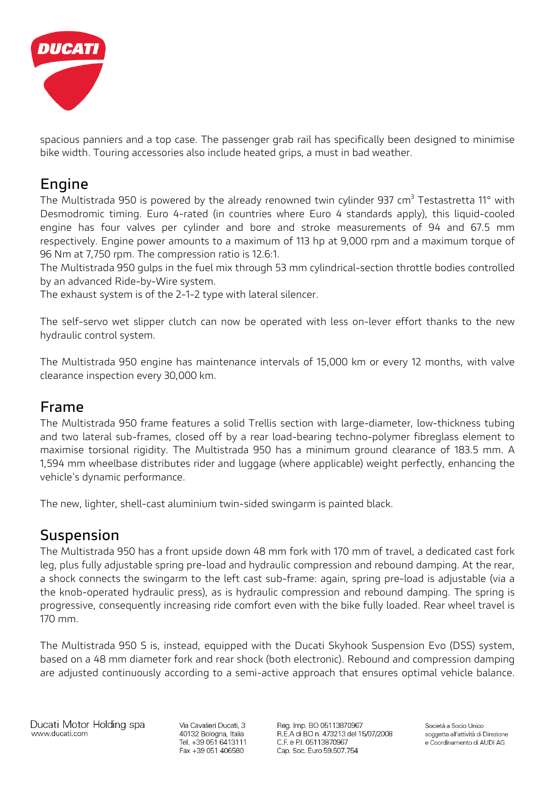

spacious panniers and a top case. The passenger grab rail has specifically been designed to minimise bike width. Touring accessories also include heated grips, a must in bad weather.

### **Engine**

The Multistrada 950 is powered by the already renowned twin cylinder 937 cm<sup>3</sup> Testastretta 11° with Desmodromic timing. Euro 4-rated (in countries where Euro 4 standards apply), this liquid-cooled engine has four valves per cylinder and bore and stroke measurements of 94 and 67.5 mm respectively. Engine power amounts to a maximum of 113 hp at 9,000 rpm and a maximum torque of 96 Nm at 7,750 rpm. The compression ratio is 12.6:1.

The Multistrada 950 gulps in the fuel mix through 53 mm cylindrical-section throttle bodies controlled by an advanced Ride-by-Wire system.

The exhaust system is of the 2-1-2 type with lateral silencer.

The self-servo wet slipper clutch can now be operated with less on-lever effort thanks to the new hydraulic control system.

The Multistrada 950 engine has maintenance intervals of 15,000 km or every 12 months, with valve clearance inspection every 30,000 km.

### **Frame**

The Multistrada 950 frame features a solid Trellis section with large-diameter, low-thickness tubing and two lateral sub-frames, closed off by a rear load-bearing techno-polymer fibreglass element to maximise torsional rigidity. The Multistrada 950 has a minimum ground clearance of 183.5 mm. A 1,594 mm wheelbase distributes rider and luggage (where applicable) weight perfectly, enhancing the vehicle's dynamic performance.

The new, lighter, shell-cast aluminium twin-sided swingarm is painted black.

## **Suspension**

The Multistrada 950 has a front upside down 48 mm fork with 170 mm of travel, a dedicated cast fork leg, plus fully adjustable spring pre-load and hydraulic compression and rebound damping. At the rear, a shock connects the swingarm to the left cast sub-frame: again, spring pre-load is adjustable (via a the knob-operated hydraulic press), as is hydraulic compression and rebound damping. The spring is progressive, consequently increasing ride comfort even with the bike fully loaded. Rear wheel travel is 170 mm.

The Multistrada 950 S is, instead, equipped with the Ducati Skyhook Suspension Evo (DSS) system, based on a 48 mm diameter fork and rear shock (both electronic). Rebound and compression damping are adjusted continuously according to a semi-active approach that ensures optimal vehicle balance.

Ducati Motor Holding spa www.ducati.com

Via Cavalieri Ducati, 3 40132 Bologna, Italia Tel. +39 051 6413111 Fax +39 051 406580

Reg. Imp. BO 05113870967 R.E.A di BO n. 473213 del 15/07/2008 C.F. e P.I. 05113870967 Cap. Soc. Euro 59.507.754

Società a Socio Unico soggetta all'attività di Direzione e Coordinamento di AUDI AG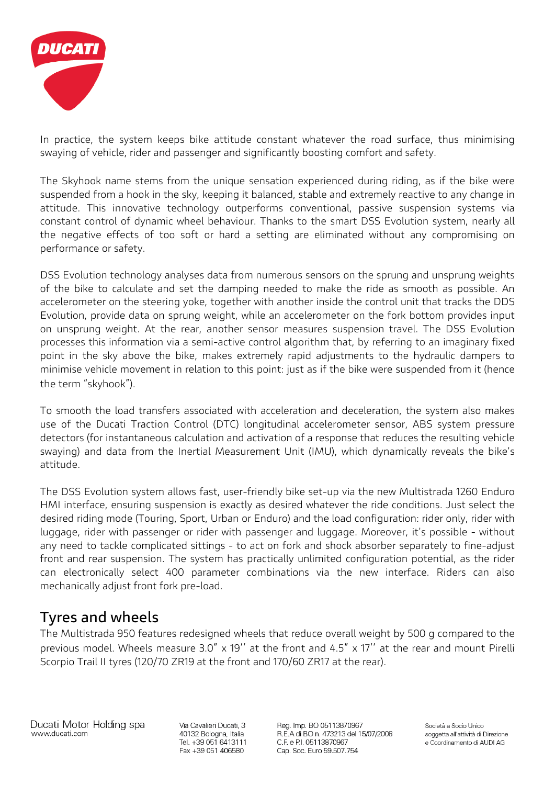

In practice, the system keeps bike attitude constant whatever the road surface, thus minimising swaying of vehicle, rider and passenger and significantly boosting comfort and safety.

The Skyhook name stems from the unique sensation experienced during riding, as if the bike were suspended from a hook in the sky, keeping it balanced, stable and extremely reactive to any change in attitude. This innovative technology outperforms conventional, passive suspension systems via constant control of dynamic wheel behaviour. Thanks to the smart DSS Evolution system, nearly all the negative effects of too soft or hard a setting are eliminated without any compromising on performance or safety.

DSS Evolution technology analyses data from numerous sensors on the sprung and unsprung weights of the bike to calculate and set the damping needed to make the ride as smooth as possible. An accelerometer on the steering yoke, together with another inside the control unit that tracks the DDS Evolution, provide data on sprung weight, while an accelerometer on the fork bottom provides input on unsprung weight. At the rear, another sensor measures suspension travel. The DSS Evolution processes this information via a semi-active control algorithm that, by referring to an imaginary fixed point in the sky above the bike, makes extremely rapid adjustments to the hydraulic dampers to minimise vehicle movement in relation to this point: just as if the bike were suspended from it (hence the term "skyhook").

To smooth the load transfers associated with acceleration and deceleration, the system also makes use of the Ducati Traction Control (DTC) longitudinal accelerometer sensor, ABS system pressure detectors (for instantaneous calculation and activation of a response that reduces the resulting vehicle swaying) and data from the Inertial Measurement Unit (IMU), which dynamically reveals the bike's attitude.

The DSS Evolution system allows fast, user-friendly bike set-up via the new Multistrada 1260 Enduro HMI interface, ensuring suspension is exactly as desired whatever the ride conditions. Just select the desired riding mode (Touring, Sport, Urban or Enduro) and the load configuration: rider only, rider with luggage, rider with passenger or rider with passenger and luggage. Moreover, it's possible - without any need to tackle complicated sittings - to act on fork and shock absorber separately to fine-adjust front and rear suspension. The system has practically unlimited configuration potential, as the rider can electronically select 400 parameter combinations via the new interface. Riders can also mechanically adjust front fork pre-load.

## **Tyres and wheels**

The Multistrada 950 features redesigned wheels that reduce overall weight by 500 g compared to the previous model. Wheels measure 3.0" x 19'' at the front and 4.5" x 17'' at the rear and mount Pirelli Scorpio Trail II tyres (120/70 ZR19 at the front and 170/60 ZR17 at the rear).

Via Cavalieri Ducati, 3 40132 Bologna, Italia Tel. +39 051 6413111 Fax +39 051 406580

Reg. Imp. BO 05113870967 R.E.A di BO n. 473213 del 15/07/2008 C.F. e P.I. 05113870967 Cap. Soc. Euro 59.507.754

Società a Socio Unico soggetta all'attività di Direzione e Coordinamento di AUDI AG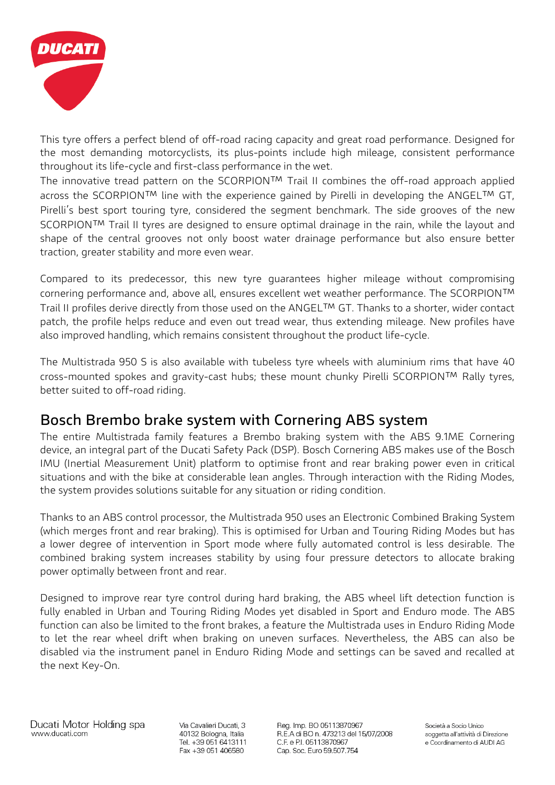

This tyre offers a perfect blend of off-road racing capacity and great road performance. Designed for the most demanding motorcyclists, its plus-points include high mileage, consistent performance throughout its life-cycle and first-class performance in the wet.

The innovative tread pattern on the SCORPION™ Trail II combines the off-road approach applied across the SCORPION™ line with the experience gained by Pirelli in developing the ANGEL™ GT, Pirelli's best sport touring tyre, considered the segment benchmark. The side grooves of the new SCORPION™ Trail II tyres are designed to ensure optimal drainage in the rain, while the layout and shape of the central grooves not only boost water drainage performance but also ensure better traction, greater stability and more even wear.

Compared to its predecessor, this new tyre guarantees higher mileage without compromising cornering performance and, above all, ensures excellent wet weather performance. The SCORPION™ Trail II profiles derive directly from those used on the ANGEL™ GT. Thanks to a shorter, wider contact patch, the profile helps reduce and even out tread wear, thus extending mileage. New profiles have also improved handling, which remains consistent throughout the product life-cycle.

The Multistrada 950 S is also available with tubeless tyre wheels with aluminium rims that have 40 cross-mounted spokes and gravity-cast hubs; these mount chunky Pirelli SCORPION™ Rally tyres, better suited to off-road riding.

### **Bosch Brembo brake system with Cornering ABS system**

The entire Multistrada family features a Brembo braking system with the ABS 9.1ME Cornering device, an integral part of the Ducati Safety Pack (DSP). Bosch Cornering ABS makes use of the Bosch IMU (Inertial Measurement Unit) platform to optimise front and rear braking power even in critical situations and with the bike at considerable lean angles. Through interaction with the Riding Modes, the system provides solutions suitable for any situation or riding condition.

Thanks to an ABS control processor, the Multistrada 950 uses an Electronic Combined Braking System (which merges front and rear braking). This is optimised for Urban and Touring Riding Modes but has a lower degree of intervention in Sport mode where fully automated control is less desirable. The combined braking system increases stability by using four pressure detectors to allocate braking power optimally between front and rear.

Designed to improve rear tyre control during hard braking, the ABS wheel lift detection function is fully enabled in Urban and Touring Riding Modes yet disabled in Sport and Enduro mode. The ABS function can also be limited to the front brakes, a feature the Multistrada uses in Enduro Riding Mode to let the rear wheel drift when braking on uneven surfaces. Nevertheless, the ABS can also be disabled via the instrument panel in Enduro Riding Mode and settings can be saved and recalled at the next Key-On.

Via Cavalieri Ducati, 3 40132 Bologna, Italia Tel. +39 051 6413111 Fax +39 051 406580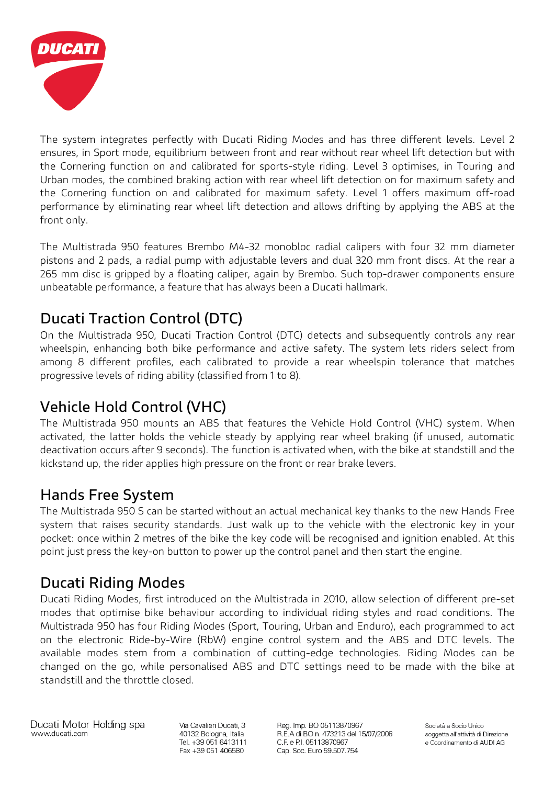

The system integrates perfectly with Ducati Riding Modes and has three different levels. Level 2 ensures, in Sport mode, equilibrium between front and rear without rear wheel lift detection but with the Cornering function on and calibrated for sports-style riding. Level 3 optimises, in Touring and Urban modes, the combined braking action with rear wheel lift detection on for maximum safety and the Cornering function on and calibrated for maximum safety. Level 1 offers maximum off-road performance by eliminating rear wheel lift detection and allows drifting by applying the ABS at the front only.

The Multistrada 950 features Brembo M4-32 monobloc radial calipers with four 32 mm diameter pistons and 2 pads, a radial pump with adjustable levers and dual 320 mm front discs. At the rear a 265 mm disc is gripped by a floating caliper, again by Brembo. Such top-drawer components ensure unbeatable performance, a feature that has always been a Ducati hallmark.

# **Ducati Traction Control (DTC)**

On the Multistrada 950, Ducati Traction Control (DTC) detects and subsequently controls any rear wheelspin, enhancing both bike performance and active safety. The system lets riders select from among 8 different profiles, each calibrated to provide a rear wheelspin tolerance that matches progressive levels of riding ability (classified from 1 to 8).

# **Vehicle Hold Control (VHC)**

The Multistrada 950 mounts an ABS that features the Vehicle Hold Control (VHC) system. When activated, the latter holds the vehicle steady by applying rear wheel braking (if unused, automatic deactivation occurs after 9 seconds). The function is activated when, with the bike at standstill and the kickstand up, the rider applies high pressure on the front or rear brake levers.

## **Hands Free System**

The Multistrada 950 S can be started without an actual mechanical key thanks to the new Hands Free system that raises security standards. Just walk up to the vehicle with the electronic key in your pocket: once within 2 metres of the bike the key code will be recognised and ignition enabled. At this point just press the key-on button to power up the control panel and then start the engine.

## **Ducati Riding Modes**

Ducati Riding Modes, first introduced on the Multistrada in 2010, allow selection of different pre-set modes that optimise bike behaviour according to individual riding styles and road conditions. The Multistrada 950 has four Riding Modes (Sport, Touring, Urban and Enduro), each programmed to act on the electronic Ride-by-Wire (RbW) engine control system and the ABS and DTC levels. The available modes stem from a combination of cutting-edge technologies. Riding Modes can be changed on the go, while personalised ABS and DTC settings need to be made with the bike at standstill and the throttle closed.

Ducati Motor Holding spa www.ducati.com

Via Cavalieri Ducati, 3 40132 Bologna, Italia Tel. +39 051 6413111 Fax +39 051 406580

Reg. Imp. BO 05113870967 R.E.A di BO n. 473213 del 15/07/2008 C.F. e P.I. 05113870967 Cap. Soc. Euro 59.507.754

Società a Socio Unico soggetta all'attività di Direzione e Coordinamento di AUDI AG